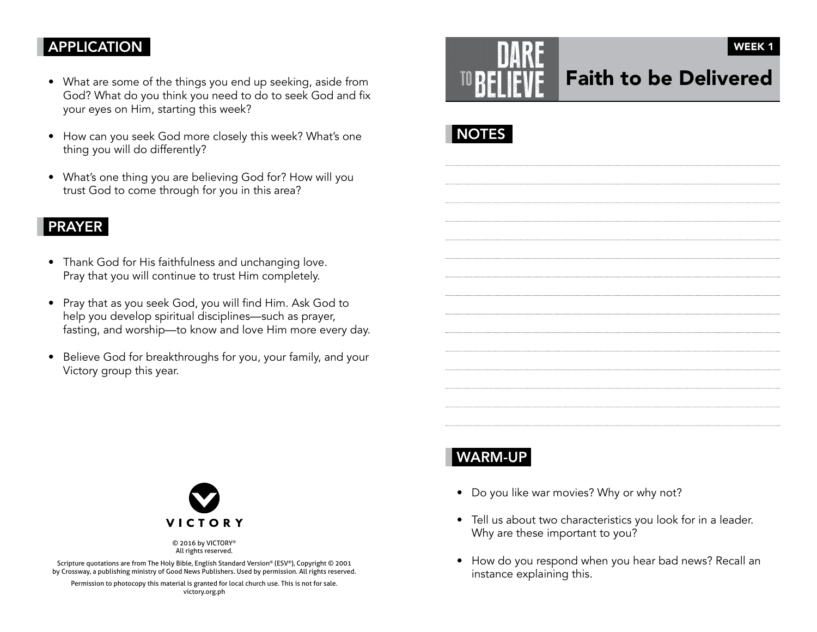### **APPLICATION**

- What are some of the things you end up seeking, aside from God? What do you think you need to do to seek God and fix your eyes on Him, starting this week?
- How can you seek God more closely this week? What's one thing you will do differently?
- What's one thing you are believing God for? How will you trust God to come through for you in this area?

#### PRAYER

- Thank God for His faithfulness and unchanging love. Pray that you will continue to trust Him completely.
- Pray that as you seek God, you will find Him. Ask God to help you develop spiritual disciplines—such as prayer, fasting, and worship—to know and love Him more every day.
- Believe God for breakthroughs for you, your family, and your Victory group this year.





# WARM-UP

- Do you like war movies? Why or why not?
- Tell us about two characteristics you look for in a leader. Why are these important to you?
- How do you respond when you hear bad news? Recall an instance explaining this.



© 2016 by VICTORY® All rights reserved.

Scripture quotations are from The Holy Bible, English Standard Version® (ESV®), Copyright © 2001 by Crossway, a publishing ministry of Good News Publishers. Used by permission. All rights reserved.

Permission to photocopy this material is granted for local church use. This is not for sale. victory.org.ph